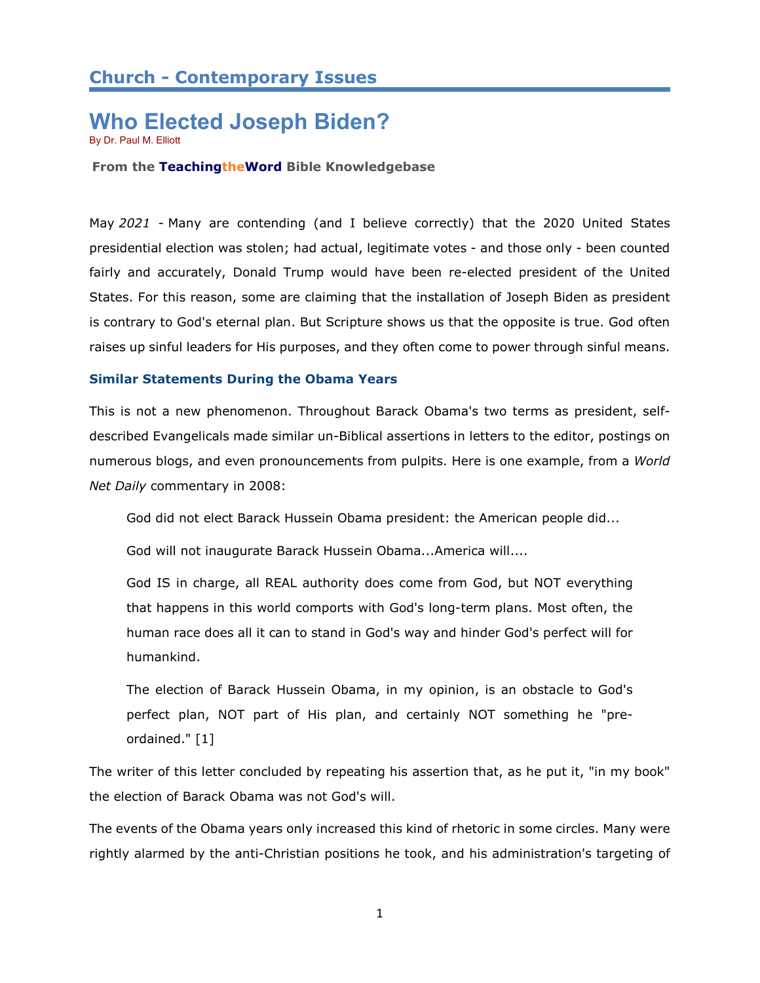# **Church - Contemporary Issues**

# **Who Elected Joseph Biden?** By Dr. Paul M. Elliott

**From the TeachingtheWord Bible Knowledgebase**

May *2021 -* Many are contending (and I believe correctly) that the 2020 United States presidential election was stolen; had actual, legitimate votes - and those only - been counted fairly and accurately, Donald Trump would have been re-elected president of the United States. For this reason, some are claiming that the installation of Joseph Biden as president is contrary to God's eternal plan. But Scripture shows us that the opposite is true. God often raises up sinful leaders for His purposes, and they often come to power through sinful means.

### **Similar Statements During the Obama Years**

This is not a new phenomenon. Throughout Barack Obama's two terms as president, selfdescribed Evangelicals made similar un-Biblical assertions in letters to the editor, postings on numerous blogs, and even pronouncements from pulpits. Here is one example, from a *World Net Daily* commentary in 2008:

God did not elect Barack Hussein Obama president: the American people did...

God will not inaugurate Barack Hussein Obama...America will....

God IS in charge, all REAL authority does come from God, but NOT everything that happens in this world comports with God's long-term plans. Most often, the human race does all it can to stand in God's way and hinder God's perfect will for humankind.

The election of Barack Hussein Obama, in my opinion, is an obstacle to God's perfect plan, NOT part of His plan, and certainly NOT something he "preordained." [1]

The writer of this letter concluded by repeating his assertion that, as he put it, "in my book" the election of Barack Obama was not God's will.

The events of the Obama years only increased this kind of rhetoric in some circles. Many were rightly alarmed by the anti-Christian positions he took, and his administration's targeting of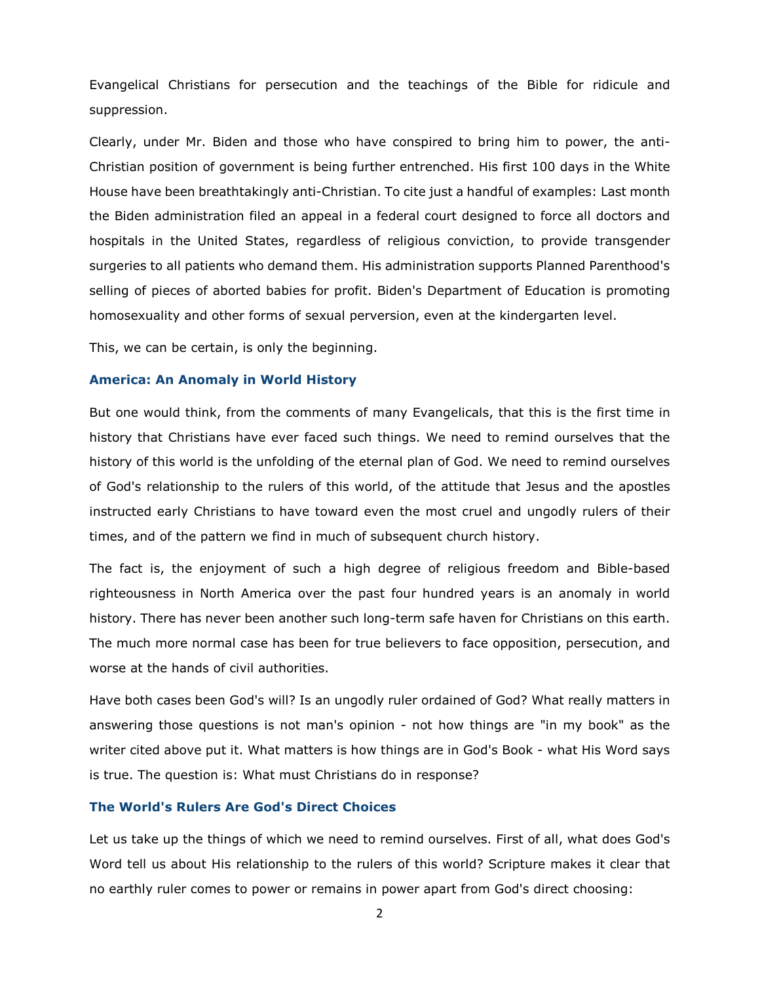Evangelical Christians for persecution and the teachings of the Bible for ridicule and suppression.

Clearly, under Mr. Biden and those who have conspired to bring him to power, the anti-Christian position of government is being further entrenched. His first 100 days in the White House have been breathtakingly anti-Christian. To cite just a handful of examples: Last month the Biden administration filed an appeal in a federal court designed to force all doctors and hospitals in the United States, regardless of religious conviction, to provide transgender surgeries to all patients who demand them. His administration supports Planned Parenthood's selling of pieces of aborted babies for profit. Biden's Department of Education is promoting homosexuality and other forms of sexual perversion, even at the kindergarten level.

This, we can be certain, is only the beginning.

#### **America: An Anomaly in World History**

But one would think, from the comments of many Evangelicals, that this is the first time in history that Christians have ever faced such things. We need to remind ourselves that the history of this world is the unfolding of the eternal plan of God. We need to remind ourselves of God's relationship to the rulers of this world, of the attitude that Jesus and the apostles instructed early Christians to have toward even the most cruel and ungodly rulers of their times, and of the pattern we find in much of subsequent church history.

The fact is, the enjoyment of such a high degree of religious freedom and Bible-based righteousness in North America over the past four hundred years is an anomaly in world history. There has never been another such long-term safe haven for Christians on this earth. The much more normal case has been for true believers to face opposition, persecution, and worse at the hands of civil authorities.

Have both cases been God's will? Is an ungodly ruler ordained of God? What really matters in answering those questions is not man's opinion - not how things are "in my book" as the writer cited above put it. What matters is how things are in God's Book - what His Word says is true. The question is: What must Christians do in response?

### **The World's Rulers Are God's Direct Choices**

Let us take up the things of which we need to remind ourselves. First of all, what does God's Word tell us about His relationship to the rulers of this world? Scripture makes it clear that no earthly ruler comes to power or remains in power apart from God's direct choosing: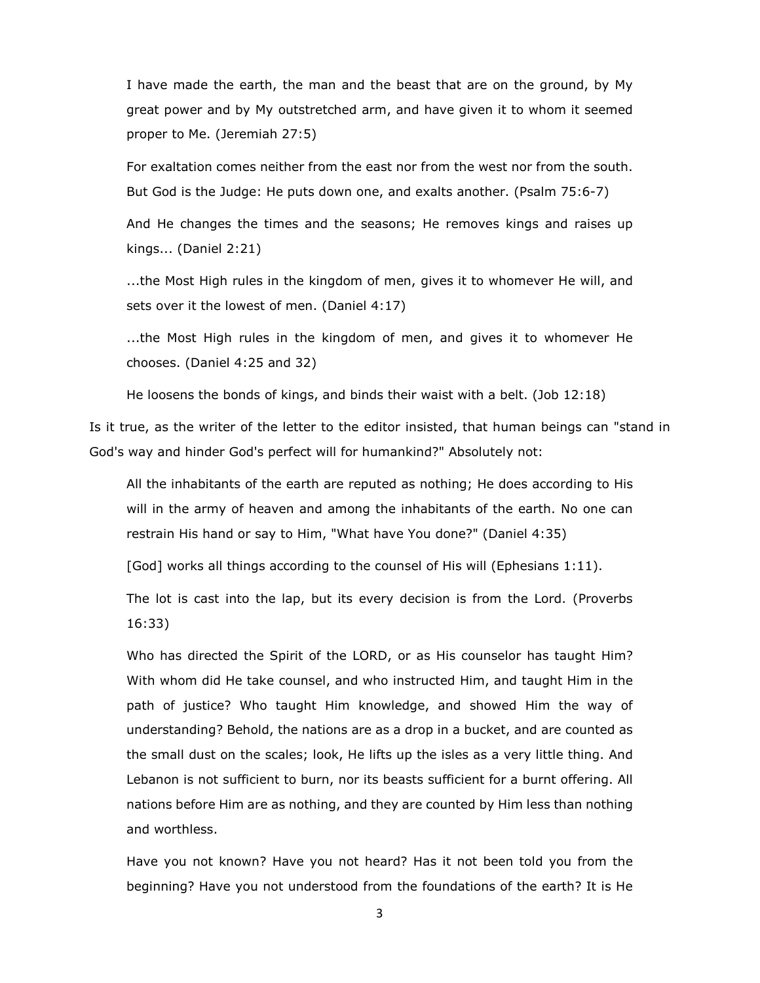I have made the earth, the man and the beast that are on the ground, by My great power and by My outstretched arm, and have given it to whom it seemed proper to Me. (Jeremiah 27:5)

For exaltation comes neither from the east nor from the west nor from the south. But God is the Judge: He puts down one, and exalts another. (Psalm 75:6-7)

And He changes the times and the seasons; He removes kings and raises up kings... (Daniel 2:21)

...the Most High rules in the kingdom of men, gives it to whomever He will, and sets over it the lowest of men. (Daniel 4:17)

...the Most High rules in the kingdom of men, and gives it to whomever He chooses. (Daniel 4:25 and 32)

He loosens the bonds of kings, and binds their waist with a belt. (Job 12:18)

Is it true, as the writer of the letter to the editor insisted, that human beings can "stand in God's way and hinder God's perfect will for humankind?" Absolutely not:

All the inhabitants of the earth are reputed as nothing; He does according to His will in the army of heaven and among the inhabitants of the earth. No one can restrain His hand or say to Him, "What have You done?" (Daniel 4:35)

[God] works all things according to the counsel of His will (Ephesians 1:11).

The lot is cast into the lap, but its every decision is from the Lord. (Proverbs 16:33)

Who has directed the Spirit of the LORD, or as His counselor has taught Him? With whom did He take counsel, and who instructed Him, and taught Him in the path of justice? Who taught Him knowledge, and showed Him the way of understanding? Behold, the nations are as a drop in a bucket, and are counted as the small dust on the scales; look, He lifts up the isles as a very little thing. And Lebanon is not sufficient to burn, nor its beasts sufficient for a burnt offering. All nations before Him are as nothing, and they are counted by Him less than nothing and worthless.

Have you not known? Have you not heard? Has it not been told you from the beginning? Have you not understood from the foundations of the earth? It is He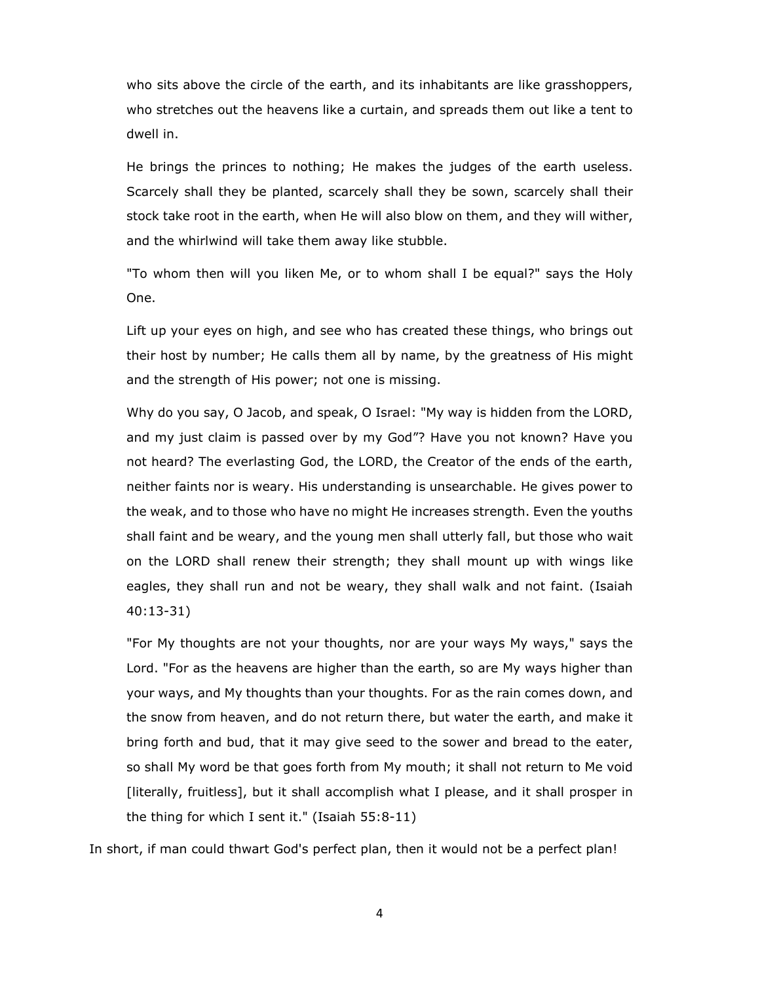who sits above the circle of the earth, and its inhabitants are like grasshoppers, who stretches out the heavens like a curtain, and spreads them out like a tent to dwell in.

He brings the princes to nothing; He makes the judges of the earth useless. Scarcely shall they be planted, scarcely shall they be sown, scarcely shall their stock take root in the earth, when He will also blow on them, and they will wither, and the whirlwind will take them away like stubble.

"To whom then will you liken Me, or to whom shall I be equal?" says the Holy One.

Lift up your eyes on high, and see who has created these things, who brings out their host by number; He calls them all by name, by the greatness of His might and the strength of His power; not one is missing.

Why do you say, O Jacob, and speak, O Israel: "My way is hidden from the LORD, and my just claim is passed over by my God"? Have you not known? Have you not heard? The everlasting God, the LORD, the Creator of the ends of the earth, neither faints nor is weary. His understanding is unsearchable. He gives power to the weak, and to those who have no might He increases strength. Even the youths shall faint and be weary, and the young men shall utterly fall, but those who wait on the LORD shall renew their strength; they shall mount up with wings like eagles, they shall run and not be weary, they shall walk and not faint. (Isaiah 40:13-31)

"For My thoughts are not your thoughts, nor are your ways My ways," says the Lord. "For as the heavens are higher than the earth, so are My ways higher than your ways, and My thoughts than your thoughts. For as the rain comes down, and the snow from heaven, and do not return there, but water the earth, and make it bring forth and bud, that it may give seed to the sower and bread to the eater, so shall My word be that goes forth from My mouth; it shall not return to Me void [literally, fruitless], but it shall accomplish what I please, and it shall prosper in the thing for which I sent it." (Isaiah 55:8-11)

In short, if man could thwart God's perfect plan, then it would not be a perfect plan!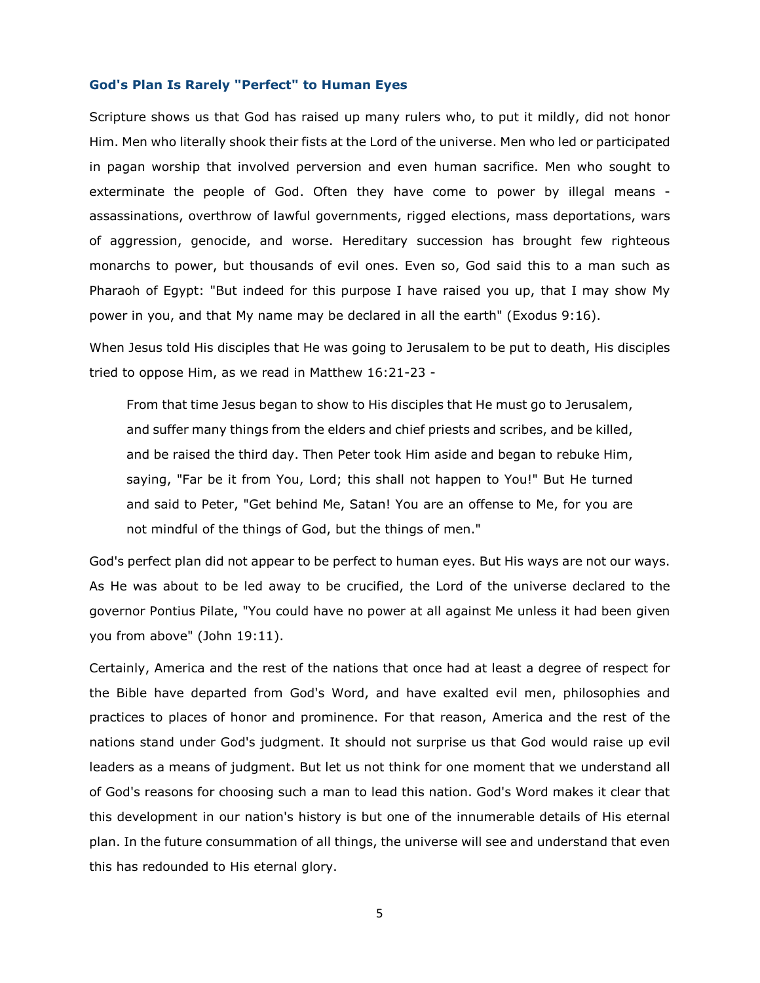#### **God's Plan Is Rarely "Perfect" to Human Eyes**

Scripture shows us that God has raised up many rulers who, to put it mildly, did not honor Him. Men who literally shook their fists at the Lord of the universe. Men who led or participated in pagan worship that involved perversion and even human sacrifice. Men who sought to exterminate the people of God. Often they have come to power by illegal means assassinations, overthrow of lawful governments, rigged elections, mass deportations, wars of aggression, genocide, and worse. Hereditary succession has brought few righteous monarchs to power, but thousands of evil ones. Even so, God said this to a man such as Pharaoh of Egypt: "But indeed for this purpose I have raised you up, that I may show My power in you, and that My name may be declared in all the earth" (Exodus 9:16).

When Jesus told His disciples that He was going to Jerusalem to be put to death, His disciples tried to oppose Him, as we read in Matthew 16:21-23 -

From that time Jesus began to show to His disciples that He must go to Jerusalem, and suffer many things from the elders and chief priests and scribes, and be killed, and be raised the third day. Then Peter took Him aside and began to rebuke Him, saying, "Far be it from You, Lord; this shall not happen to You!" But He turned and said to Peter, "Get behind Me, Satan! You are an offense to Me, for you are not mindful of the things of God, but the things of men."

God's perfect plan did not appear to be perfect to human eyes. But His ways are not our ways. As He was about to be led away to be crucified, the Lord of the universe declared to the governor Pontius Pilate, "You could have no power at all against Me unless it had been given you from above" (John 19:11).

Certainly, America and the rest of the nations that once had at least a degree of respect for the Bible have departed from God's Word, and have exalted evil men, philosophies and practices to places of honor and prominence. For that reason, America and the rest of the nations stand under God's judgment. It should not surprise us that God would raise up evil leaders as a means of judgment. But let us not think for one moment that we understand all of God's reasons for choosing such a man to lead this nation. God's Word makes it clear that this development in our nation's history is but one of the innumerable details of His eternal plan. In the future consummation of all things, the universe will see and understand that even this has redounded to His eternal glory.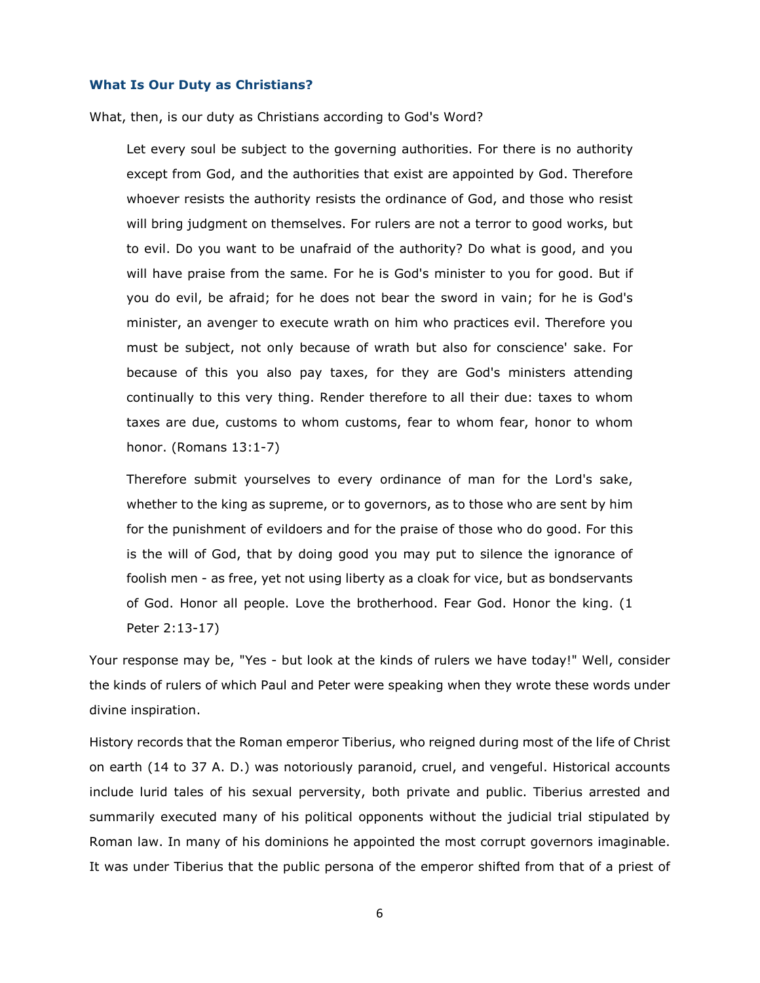#### **What Is Our Duty as Christians?**

What, then, is our duty as Christians according to God's Word?

Let every soul be subject to the governing authorities. For there is no authority except from God, and the authorities that exist are appointed by God. Therefore whoever resists the authority resists the ordinance of God, and those who resist will bring judgment on themselves. For rulers are not a terror to good works, but to evil. Do you want to be unafraid of the authority? Do what is good, and you will have praise from the same. For he is God's minister to you for good. But if you do evil, be afraid; for he does not bear the sword in vain; for he is God's minister, an avenger to execute wrath on him who practices evil. Therefore you must be subject, not only because of wrath but also for conscience' sake. For because of this you also pay taxes, for they are God's ministers attending continually to this very thing. Render therefore to all their due: taxes to whom taxes are due, customs to whom customs, fear to whom fear, honor to whom honor. (Romans 13:1-7)

Therefore submit yourselves to every ordinance of man for the Lord's sake, whether to the king as supreme, or to governors, as to those who are sent by him for the punishment of evildoers and for the praise of those who do good. For this is the will of God, that by doing good you may put to silence the ignorance of foolish men - as free, yet not using liberty as a cloak for vice, but as bondservants of God. Honor all people. Love the brotherhood. Fear God. Honor the king. (1 Peter 2:13-17)

Your response may be, "Yes - but look at the kinds of rulers we have today!" Well, consider the kinds of rulers of which Paul and Peter were speaking when they wrote these words under divine inspiration.

History records that the Roman emperor Tiberius, who reigned during most of the life of Christ on earth (14 to 37 A. D.) was notoriously paranoid, cruel, and vengeful. Historical accounts include lurid tales of his sexual perversity, both private and public. Tiberius arrested and summarily executed many of his political opponents without the judicial trial stipulated by Roman law. In many of his dominions he appointed the most corrupt governors imaginable. It was under Tiberius that the public persona of the emperor shifted from that of a priest of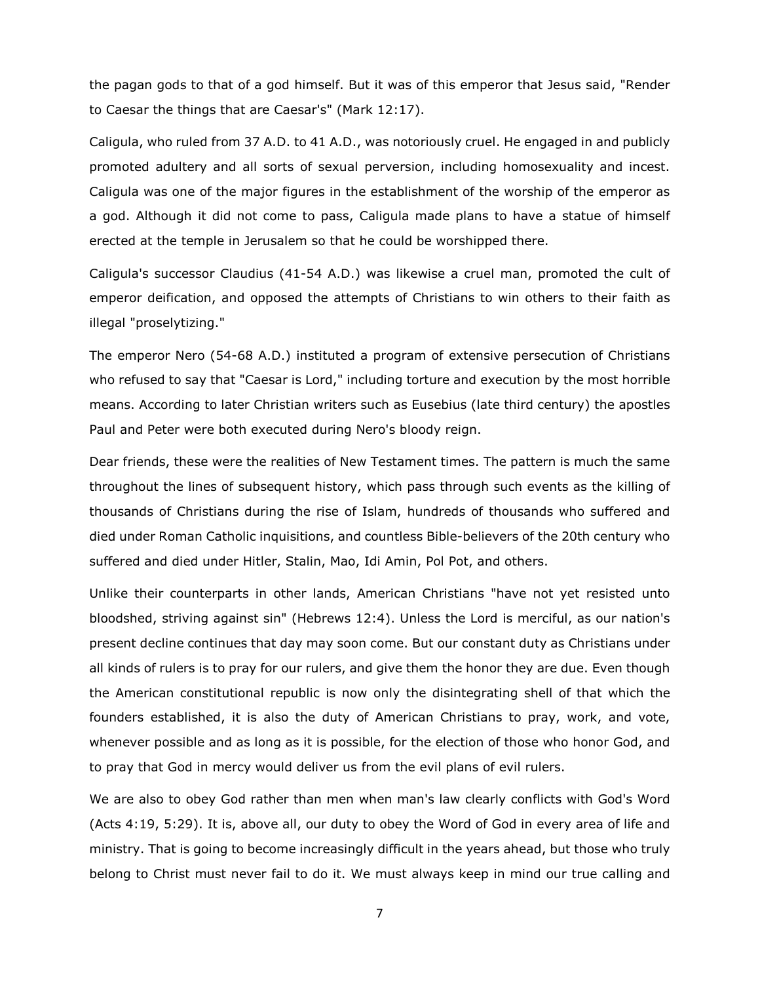the pagan gods to that of a god himself. But it was of this emperor that Jesus said, "Render to Caesar the things that are Caesar's" (Mark 12:17).

Caligula, who ruled from 37 A.D. to 41 A.D., was notoriously cruel. He engaged in and publicly promoted adultery and all sorts of sexual perversion, including homosexuality and incest. Caligula was one of the major figures in the establishment of the worship of the emperor as a god. Although it did not come to pass, Caligula made plans to have a statue of himself erected at the temple in Jerusalem so that he could be worshipped there.

Caligula's successor Claudius (41-54 A.D.) was likewise a cruel man, promoted the cult of emperor deification, and opposed the attempts of Christians to win others to their faith as illegal "proselytizing."

The emperor Nero (54-68 A.D.) instituted a program of extensive persecution of Christians who refused to say that "Caesar is Lord," including torture and execution by the most horrible means. According to later Christian writers such as Eusebius (late third century) the apostles Paul and Peter were both executed during Nero's bloody reign.

Dear friends, these were the realities of New Testament times. The pattern is much the same throughout the lines of subsequent history, which pass through such events as the killing of thousands of Christians during the rise of Islam, hundreds of thousands who suffered and died under Roman Catholic inquisitions, and countless Bible-believers of the 20th century who suffered and died under Hitler, Stalin, Mao, Idi Amin, Pol Pot, and others.

Unlike their counterparts in other lands, American Christians "have not yet resisted unto bloodshed, striving against sin" (Hebrews 12:4). Unless the Lord is merciful, as our nation's present decline continues that day may soon come. But our constant duty as Christians under all kinds of rulers is to pray for our rulers, and give them the honor they are due. Even though the American constitutional republic is now only the disintegrating shell of that which the founders established, it is also the duty of American Christians to pray, work, and vote, whenever possible and as long as it is possible, for the election of those who honor God, and to pray that God in mercy would deliver us from the evil plans of evil rulers.

We are also to obey God rather than men when man's law clearly conflicts with God's Word (Acts 4:19, 5:29). It is, above all, our duty to obey the Word of God in every area of life and ministry. That is going to become increasingly difficult in the years ahead, but those who truly belong to Christ must never fail to do it. We must always keep in mind our true calling and